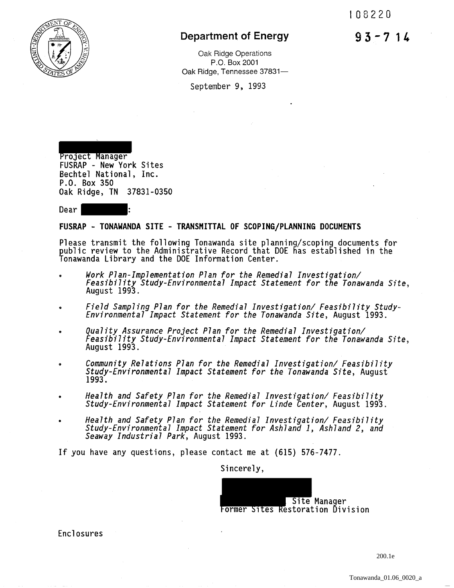93-714



## Department of Energy

Oak Ridge Operations P.O. Box 2001 Oak Ridge, Tennessee 37831-

September 9, 1993

Project Manager<br>FUSRAP - New York Sites Bechtel National, Inc. P.O. Box 350 Oak Ridge, TN 37831-0350

Dear I

## FUSRAP - TONAWANDA SITE - TRANSMITTAL OF SCOPING/PLANNING DOCUMENTS

Please transmit the following Tonawanda site planning/scoping documents for public review to the Administrative Record that DOE has established in the Tonawanda Library and the DOE Information Center.

- *Work Plan-Implementation Plan for the Remedial Investigation/ Feasibility Study-Environmental Impact Statement for the Tonawanda Site,* August 1993.
- *Field Sampling Plan for the Remedial Investigation/ Feasibility Study- Environmental Impact Statement for the Tonawanda Site,* August 1993.
- *Quality Assurance Project Plan for the Remedial Investigation/ Feasibility Study-Environmental Impact Statement for the Tonawanda Site,* August 1993.
- .. *Community Relations Plan for the Remedial Investigation/ Feasibility Study-Environmental Impact Statement for the Tonawanda Site,* August 1993.
- *Health and Safety Plan for the Remedial Investigation/ Feasibility Study-Environmental Impact Statement for Linde Center,* August 1993.
- *Health and Safety Plan for the Remedial Investigation/ Feasibility Study-Environmental Impact Statement for Ashland 1, Ashland 2, and Seaway Industrial Park,* August 1993.

If you have any questions, please contact me at (615) 576-7477.

Sincerely,



Enclosures

200.1e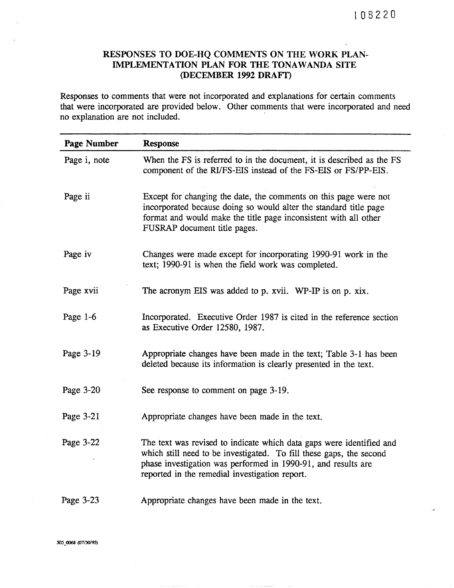## RESPONSES TO DOE-HQ COMMENTS ON THE WORK PLAN-IMPLEMENTATION PLAN FOR THE TONAWANDA SITE (DECEMBER 1992 DRAFI')

Responses to comments that were not incorporated and explanations for certain comments that were incorporated are provided below. Other comments that were incorporated and need no explanation are not included.

| <b>Page Number</b> | <b>Response</b>                                                                                                                                                                                                                                                |  |  |  |
|--------------------|----------------------------------------------------------------------------------------------------------------------------------------------------------------------------------------------------------------------------------------------------------------|--|--|--|
| Page i, note       | When the FS is referred to in the document, it is described as the FS<br>component of the RI/FS-EIS instead of the FS-EIS or FS/PP-EIS.                                                                                                                        |  |  |  |
| Page ii            | Except for changing the date, the comments on this page were not<br>incorporated because doing so would alter the standard title page<br>format and would make the title page inconsistent with all other<br>FUSRAP document title pages.                      |  |  |  |
| Page iv            | Changes were made except for incorporating 1990-91 work in the<br>text; 1990-91 is when the field work was completed.                                                                                                                                          |  |  |  |
| Page xvii          | The acronym EIS was added to p. xvii. WP-IP is on p. xix.                                                                                                                                                                                                      |  |  |  |
| Page $1-6$         | Incorporated. Executive Order 1987 is cited in the reference section<br>as Executive Order 12580, 1987.                                                                                                                                                        |  |  |  |
| Page 3-19          | Appropriate changes have been made in the text; Table 3-1 has been<br>deleted because its information is clearly presented in the text.                                                                                                                        |  |  |  |
| Page 3-20          | See response to comment on page 3-19.                                                                                                                                                                                                                          |  |  |  |
| Page 3-21          | Appropriate changes have been made in the text.                                                                                                                                                                                                                |  |  |  |
| Page 3-22          | The text was revised to indicate which data gaps were identified and<br>which still need to be investigated. To fill these gaps, the second<br>phase investigation was performed in 1990-91, and results are<br>reported in the remedial investigation report. |  |  |  |
| Page 3-23          | Appropriate changes have been made in the text.                                                                                                                                                                                                                |  |  |  |

503\_0068 (07/30/93)